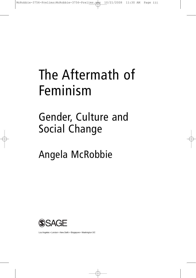# The Aftermath of Feminism

## Gender, Culture and Social Change

Angela McRobbie



London . New Delhi . Singapore . Washington DC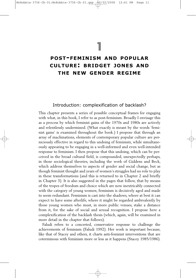McRobbie-3756-Ch-01:McRobbie-3756-Ch-01.qxp /t0/22/2008 12:41 PM Page 11



### **POST-FEMINISM AND POPULAR CULTURE: BRIDGET JONES AND THE NEW GENDER REGIME**

#### Introduction: complexification of backlash?

This chapter presents a series of possible conceptual frames for engaging with what, in this book, I refer to as post-feminism. Broadly I envisage this as a process by which feminist gains of the 1970s and 1980s are actively and relentlessly undermined. (What exactly is meant by the words 'feminist gains' is examined throughout the book.) I propose that through an array of machinations, elements of contemporary popular culture are perniciously effective in regard to this undoing of feminism, while simultaneously appearing to be engaging in a well-informed and even well-intended response to feminism. I then propose that this undoing, which can be perceived in the broad cultural field, is compounded, unexpectedly perhaps, in those sociological theories, including the work of Giddens and Beck, which address themselves to aspects of gender and social change, but as though feminist thought and years of women's struggles had no role to play in these transformations (and this is returned to in Chapter 2 and briefly in Chapter 3). It is also suggested in the pages that follow, that by means of the tropes of freedom and choice which are now inextricably connected with the category of young women, feminism is decisively aged and made to seem redundant. Feminism is cast into the shadows, where at best it can expect to have some afterlife, where it might be regarded ambivalently by those young women who must, in more public venues, stake a distance from it, for the sake of social and sexual recognition. I propose here a complexification of the backlash thesis (which, again, will be examined in more detail in the chapter that follows).

Faludi refers to a concerted, conservative response to challenge the achievements of feminism (Faludi 1992). Her work is important because, like that of Stacey and others, it charts anti-feminist interventions that are coterminous with feminism more or less as it happens (Stacey 1985/1986).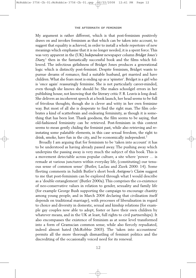My argument is rather different, which is that post-feminism positively draws on and invokes feminism as that which can be taken into account, to suggest that equality is achieved, in order to install a whole repertoire of new meanings which emphasise that it is no longer needed, it is a spent force.This was very apparent in the (UK) *Independent* newspaper column *Bridget Jones's Diary,* <sup>1</sup> then in the fantastically successful book and the films which followed. The infectious girlishness of Bridget Jones produces a generational logic which is distinctly post-feminist. Despite feminism, Bridget wants to pursue dreams of romance, find a suitable husband, get married and have children.What she fears most is ending up as a 'spinster'. Bridget is a girl who is 'once again' reassuringly feminine. She is not particularly career-minded, even though she knows she should be. She makes schoolgirl errors in her publishing house, not knowing that the literary critic F. R. Leavis is long dead. She delivers an incoherent speech at a book launch, her head seems to be full of frivolous thoughts, though she is clever and witty in her own feminine way. But most of all she is desperate to find the right man. The film celebrates a kind of scatterbrain and endearing femininity, as though it is something that has been lost. Thank goodness, the film seems to be saying, that old-fashioned femininity can be retrieved. Post-feminism in this context seems to mean gently chiding the feminist past, while also retrieving and reinstating some palatable elements, in this case sexual freedom, the right to drink, smoke, have fun in the city, and be economically independent. 2

Broadly I am arguing that for feminism to be 'taken into account' it has to be understood as having already passed away. The pushing away which underpins the passing away is very much the subject of this book. This is a movement detectable across popular culture, a site where 'power … is remade at various junctures within everyday life, (constituting) our tenuous sense of common sense' (Butler, Laclau and Zizek 2000: 14). Some fleeting comments in Judith Butler's short book *Antigone's Claim* suggest to me that post-feminism can be explored through what I would describe as a 'double entanglement' (Butler 2000a).This comprises the co-existence of neo-conservative values in relation to gender, sexuality and family life (for example George Bush supporting the campaign to encourage chastity among young people, and in March 2004 declaring that civilisation itself depends on traditional marriage), with processes of liberalisation in regard to choice and diversity in domestic, sexual and kinship relations (for example gay couples now able to adopt, foster or have their own children by whatever means, and in the UK at least, full rights to civil partnerships). It also encompasses the existence of feminism as at some level transformed into a form of Gramscian common sense, while also fiercely repudiated, indeed almost hated (McRobbie 2003). The 'taken into accountness' permits all the more thorough dismantling of feminist politics and the discrediting of the occasionally voiced need for its renewal.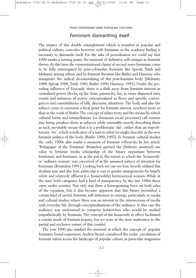#### Feminism dismantling itself

The impact of this double entanglement which is manifest in popular and political culture, coincides however, with feminism in the academy finding it necessary to dismantle itself. For the sake of periodisation we could say that 1990 marks a turning point, the moment of definitive self-critique in feminist theory.At this time the representational claims of second wave feminism come to be fully interrogated by post-colonialist feminists like Spivak, Trinh and Mohanty among others, and by feminist theorists like Butler and Haraway who inaugurate the radical de-naturalising of the post-feminist body (Mohanty 1988, Spivak 1988, Trinh 1989, Butler 1990, Haraway 1991). Under the prevailing influence of Foucault, there is a shift away from feminist interest in centralised power blocks, eg the State, patriarchy, law, to more dispersed sites, events and instances of power conceptualised as flows and specific convergences and consolidations of talk, discourse, attentions. The body and also the subject come to represent a focal point for feminist interest, nowhere more so than in the work of Butler.The concept of subjectivity and the means by which cultural forms and interpellations (or dominant social processes) call women into being, produce them as subjects while ostensibly merely describing them as such, inevitably means that it is a problematic 'she', rather than an unproblematic 'we', which is indicative of a turn to what we might describe as the new feminist politics of the body (Butler 1990, 1993). In feminist cultural studies the early 1990s also marks a moment of feminist reflexivity. In her article 'Pedagogies of the Feminine' Brunsdon queried the (hitherto assumed) use value to feminist media scholarship of the binary opposition between femininity and feminism, or as she put it, the extent to which the 'housewife' or 'ordinary woman' was conceived of as the assumed subject of attention for feminism (Brunsdon 1991). Looking back we can see how heavily utilised this dualism was, and also how particular it was to gender arrangements for largely white and relatively affluent (i.e. housewifely) heterosexual women. While at the time both categories had a kind of transparency, by the late 1980s these came under scrutiny. Not only was there a homogenising force on both sides of the equation, but it also became apparent that this binary permitted a certain kind of useful, feminist, self-definition to emerge, particularly in media and cultural studies where there was an interest in the intersections of media with everyday life, through conceptualisations of the audience. In this case the audience was understood to comprise housewives who would be studied empathetically by feminists.The concept of the housewife in effect facilitated a certain mode of feminist inquiry, but we were at the time inattentive to the partial and exclusive nature of this couplet.

The year 1990 also marked the moment at which the concept of popular feminism found expression.Andrea Stuart considered the wider circulation of feminist values across the landscape of popular culture, in particular magazines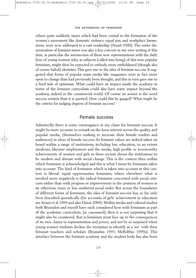where quite suddenly issues which had been central to the formation of the women's movement like domestic violence, equal pay, and workplace harassment, were now addressed to a vast readership (Stuart 1990). The wider dissemination of feminist issues was also a key concern in my own writing at this time, in particular the intersection of these new representations with the daily lives of young women who, as subjects (called into being) of this now popular feminism, might then be expected to embody more emboldened (though also of course failed) identities.This gave rise to the idea of feminist success. It suggested that forms of popular mass media like magazines were in fact more open to change than had previously been thought, and this in turn gave rise to a brief tide of optimism. What could have an impact inside the academy in terms of the feminist curriculum could also have some impact beyond the academy, indeed in the commercial world. Of course no sooner is the word success written than it is queried. How could this be gauged? What might be the criteria for judging degrees of feminist success?

#### Female success

Admittedly there is some extravagance in my claim for feminist success. It might be more accurate to remark on the keen interest across the quality and popular media, (themselves wishing to increase their female readers and audiences) in ideas of female success. As feminist values are indeed taken on board within a range of institutions, including law, education, to an extent medicine, likewise employment and the media, high profile or newsworthy achievements of women and girls in these sectors shows the institutions to be modern and abreast with social change. This is the context then within which feminism is acknowledged and this is what I mean by feminism taken into account. The kind of feminism which is taken into account in this context is liberal, equal opportunities feminism, where elsewhere what is invoked more negatively is the radical feminism concerned with social criticism rather than with progress or improvement in the position of women in an otherwise more or less unaltered social order. But across the boundaries of different forms of feminism, the idea of feminist success has, so far, only been described sporadically (for accounts of girls' achievement in education see Arnot et al 1999 and also Harris 2004).Within media and cultural studies both Brunsdon and myself have each considered how with feminism as part of the academic curriculum, (ie canonised), then it is not surprising that it might also be countered, that is feminism must face up to the consequences of its own claims to representation and power, and not be so surprised when young women students decline the invitation to identify as a 'we' with their feminist teachers and scholars (Brunsdon 1991, McRobbie 1999a). This interface between the feminist academy and the student body has also been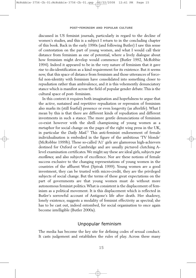discussed in US feminist journals, particularly in regard to the decline of women's studies, and this is a subject I return to in the concluding chapter of this book. Back in the early 1990s (and following Butler) I saw this sense of contestation on the part of young women, and what I would call their distance from feminism as one of potential, where a lively dialogue about how feminism might develop would commence (Butler 1992, McRobbie 1994). Indeed it appeared to be in the very nature of feminism that it gave rise to dis-identification as a kind requirement for its existence. But it seems now, that this space of distance from feminism and those utterances of forceful non-identity with feminism have consolidated into something closer to repudiation rather than ambivalence, and it is this vehemently denunciatory stance which is manifest across the field of popular gender debate.This is the cultural space of post- feminism.

In this context it requires both imagination and hopefulness to argue that the active, sustained and repetitive repudiation or repression of feminism also marks its (still fearful) presence or even longevity (as afterlife). What I mean by this is that there are different kinds of repudiation and different investments in such a stance. The more gentle denunciations of feminism co-exist however with the shrill championing of young women as a metaphor for social change on the pages of the right wing press in the UK, in particular the *Daily Mail*. <sup>3</sup> This anti-feminist endorsement of female individualisation is embodied in the figure of the ambitious 'TV blonde' (McRobbie 1999b). These so-called 'A1' girls are glamorous high-achievers destined for Oxford or Cambridge and are usually pictured clutching Alevel examination certificates.We might say these are ideal girls, subjects *par excellence,* and also subjects of excellence. Nor are these notions of female success exclusive to the changing representations of young women in the countries of the affluent West (Spivak 1999). Young women are a good investment, they can be trusted with micro-credit, they are the privileged subjects of social change. But the terms of these great expectations on the part of governments are that young women must do without more autonomous feminist politics.What is consistent is the displacement of feminism as a political movement. It is this displacement which is reflected in Butler's sorrowful account of Antigone's life after death. Her shadowy, lonely existence, suggests a modality of feminist effectivity as spectral; she has to be cast out, indeed entombed, for social organisation to once again become intelligible (Butler 2000a).

#### Unpopular feminism

The media has become the key site for defining codes of sexual conduct. It casts judgement and establishes the rules of play. Across these many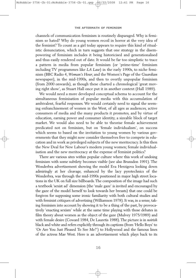channels of communication feminism is routinely disparaged. Why is feminism so hated? Why do young women recoil in horror at the very idea of the feminist? To count as a girl today appears to require this kind of ritualistic denunciation, which in turn suggests that one strategy in the disempowering of feminism includes it being historicised and generationalised and thus easily rendered out of date. It would be far too simplistic to trace a pattern in media from popular feminism (or 'prime-time' feminism including TV programmes like *LA Law*) in the early 1990s, to niche feminism (BBC Radio 4, *Woman's Hour*, and the Women's Page of the *Guardian* newspaper), in the mid-1990s, and then to overtly unpopular feminism (from 2000 onwards), as though these charted a chronological 'great moving right show', as Stuart Hall once put it in another context (Hall 1989).

We would need a more developed conceptual schema to account for the simultaneous feminisation of popular media with this accumulation of ambivalent, fearful responses. We would certainly need to signal the seeming enfranchisement of women in the West, of all ages as audiences, active consumers of media and the many products it promotes, and by virtue of education, earning power and consumer identity, a sizeable block of target market. We would also need to be able to theorise female achievement predicated not on feminism, but on 'female individualism', on success which seems to based on the invitation to young women by various governments that they might now consider themselves free to compete in education and in work as privileged subjects of the new meritocracy. Is this then the New Deal for New Labour's modern young women; female individualisation and the new meritocracy at the expense of feminist politics?

There are various sites within popular culture where this work of undoing feminism with some subtlety becomes visible (see also Brunsdon 1991). The Wonderbra advertisement showing the model Eva Herzigova looking down admiringly at her cleavage, enhanced by the lacy pyrotechnics of the Wonderbra, was through the mid-1990s positioned in major high street locations in the UK on full size billboards.The composition of the image had such a textbook 'sexist ad' dimension (the 'male gaze' is invited and encouraged by the gaze of the model herself to look towards her breasts) that one could be forgiven for supposing some ironic familiarity with both cultural studies and with feminist critiques of advertising (Williamson 1978). It was, in a sense, taking feminism into account by showing it to be a thing of the past, by provocatively 'enacting sexism' while at the same time playing with those debates in film theory about women as the object of the gaze (Mulvey 1975/1989) and with female desire (Coward 1984, De Lauretis 1988).The picture is in *noirish* black and white and refers explicitly through its captions (from 'Hello Boys' to 'Or Are You Just Pleased To See Me?') to Hollywood and the famous lines of the actress Mae West. Here is an advertisement which plays back to its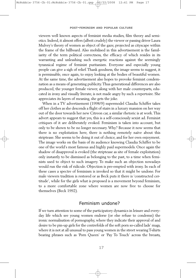viewers well known aspects of feminist media studies, film theory and semiotics. Indeed, it almost offers (albeit crudely) the viewer or passing driver Laura Mulvey's theory of women as object of the gaze, projected as cityscape within the frame of the billboard. Also mobilised in this advertisement is the familiarity of the term political correctness, the efficacy of which resides in its warranting and unleashing such energetic reactions against the seemingly tyrannical regime of feminist puritanism. Everyone and especially young people can give a sigh of relief.Thank goodness, the image seems to suggest, it is permissable, once again, to enjoy looking at the bodies of beautiful women. At the same time, the advertisement also hopes to provoke feminist condemnation as a means of generating publicity.Thus generational differences are also produced, the younger female viewer, along with her male counterparts, educated in irony and visually literate, is not made angry by such a repertoire. She appreciates its layers of meaning, she gets the joke.

When in a TV advertisement (1998/9) supermodel Claudia Schiffer takes off her clothes as she descends a flight of stairs in a luxury mansion on her way out of the door towards her new Citreon car, a similar rhetoric is at work.This advert appears to suggest that yes, this is a self-consciously sexist ad. Feminist critiques of it are deliberately evoked. Feminism is taken into account, but only to be shown to be no longer necessary.Why? Because it now seems that there is no exploitation here, there is nothing remotely naïve about this striptease. She seems to be doing it out of choice, and for her own enjoyment. The image works on the basis of its audience knowing Claudia Schiffer to be one of the world's most famous and highly paid supermodels. Once again the shadow of disapproval is evoked (the striptease as site of female exploitation) only instantly to be dismissed as belonging to the past, to a time when feminists used to object to such imagery. To make such an objection nowadays would run the risk of ridicule. Objection is pre-empted with irony. In each of these cases a spectre of feminism is invoked so that it might be undone. For male viewers tradition is restored or as Beck puts it there is 'constructed certitude', while for the girls what is proposed is a movement beyond feminism, to a more comfortable zone where women are now free to choose for themselves (Beck 1992).

#### Feminism undone?

If we turn attention to some of the participatory dynamics in leisure and everyday life which see young women endorse (or else refuse to condemn) the ironic normalisation of pornography, where they indicate their approval of and desire to be pin-up girls for the centrefolds of the soft porn so-called lads' mags, where it is not at all unusual to pass young women in the street wearingT-shirts bearing phrases such as 'Porn Queen' or 'Pay To Touch' across the breasts,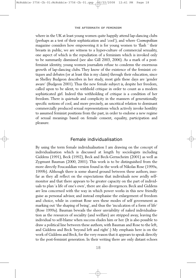where in the UK at least young women quite happily attend lap-dancing clubs (perhaps as a test of their sophistication and 'cool'), and where *Cosmopolitan* magazine considers how empowering it is for young women to 'flash ' their breasts in public, we are witness to a hyper-culture of commercial sexuality, one aspect of which is the repudiation of a feminism which is invoked only to be summarily dismissed (see also Gill 2003, 2006). As a mark of a postfeminist identity, young women journalists refuse to condemn the enormous growth of lap-dancing clubs. They know of the existence of the feminist critiques and debates (or at least this is my claim) through their education, since as Shelley Budgeon describes in her study, most girls these days are 'gender aware' (Budgeon 2001). Thus the new female subject is, despite her freedom, called upon to be silent, to withhold critique in order to count as a modern sophisticated girl. Indeed this withholding of critique is a condition of her freedom. There is quietude and complicity in the manners of generationally specific notions of cool, and more precisely, an uncritical relation to dominant commercially produced sexual representations which actively invoke hostility to assumed feminist positions from the past, in order to endorse a new regime of sexual meanings based on female consent, equality, participation and pleasure.

#### Female individualisation

By using the term female individualisation I am drawing on the concept of individualisation which is discussed at length by sociologists including Giddens (1991), Beck (1992), Beck and Beck-Gernscheim (2001) as well as Zygmunt Bauman (2000, 2001). This work is to be distinguished from the more directly Foucauldian version found in the work of Nikolas Rose (1999a, 1999b). Although there is some shared ground between these authors, insofar as they all reflect on the expectations that individuals now avidly selfmonitor and that there appears to be greater capacity on the part of individuals to plan 'a life of one's own', there are also divergences. Beck and Giddens are less concerned with the way in which power works in this new friendly guise as personal advisor, and instead emphasise the enlargement of freedom and choice, while in contrast Rose sees these modes of self government as marking out 'the shaping of being', and thus the 'inculcation of a form of life' (Rose 1999a). Bauman bewails the sheer unviability of naked individualisation as the resources of sociality (and welfare) are stripped away, leaving the individual to self-blame when success eludes him or her. (It is also possible to draw a political line between these authors, with Bauman and Rose to the left, and Giddens and Beck 'beyond left and right'.) My emphasis here is on the work of Giddens and Beck, for the very reason that it appears to speak directly to the post-feminist generation. In their writing there are only distant echoes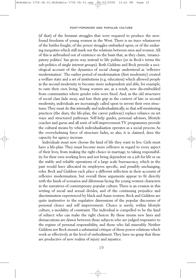(if that) of the feminist struggles that were required to produce the newfound freedoms of young women in the West. There is no trace whatsoever of the battles fought, of the power struggles embarked upon, or of the enduring inequities which still mark out the relations between men and women.All of this is airbrushed out of existence on the basis that, as they claim, 'emancipatory politics' has given way instead to life politics (or in Beck's terms the sub-politics of single interest groups). Both Giddens and Beck provide a sociological account of the dynamics of social change understood as 'reflexive modernisation'.The earlier period of modernisation (first modernity) created a welfare state and a set of institutions (e.g. education) which allowed people in the second modernity to become more independent and able, for example, to earn their own living. Young women are, as a result, now dis-embedded from communities where gender roles were fixed. And, as the old structures of social class fade away, and lose their grip in the context of late or second modernity, individuals are increasingly called upon to invent their own structures. They must do this internally and individualistically, so that self-monitoring practices (the diary, the life-plan, the career pathway) replace reliance on set ways and structured pathways. Self-help guides, personal advisors, lifestyle coaches and gurus and all sorts of self-improvement TV programmes provide the cultural means by which individualisation operates as a social process. As the overwhelming force of structure fades, so also, it is claimed, does the capacity for agency increase.

Individuals must now choose the kind of life they want to live. Girls must have a life-plan. They must become more reflexive in regard to every aspect of their lives, from making the right choice in marriage, to taking responsibility for their own working lives and not being dependent on a job for life or on the stable and reliable operations of a large scale bureaucracy, which in the past would have allocated its employees specific, and possibly unchanging, roles. Beck and Giddens each place a different inflection in their accounts of reflexive modernisation, but overall these arguments appear to fit directly with the kinds of scenarios and dilemmas facing the young women characters in the narratives of contemporary popular culture. There is an evasion in this writing of social and sexual divides, and of the continuing prejudice and discrimination experienced by black and Asian women. Beck and Giddens are quite inattentive to the regulative dimensions of the popular discourses of personal choice and self improvement. Choice is surely, within lifestyle culture, a modality of constraint. The individual is compelled to be the kind of subject who can make the right choices. By these means new lines and demarcations are drawn between those subjects who are judged responsive to the regime of personal responsibility, and those who fail miserably. Neither Giddens nor Beck mount a substantial critique of these power relations which work so effectively at the level of embodiment.They have no grasp that these are productive of new realms of injury and injustice.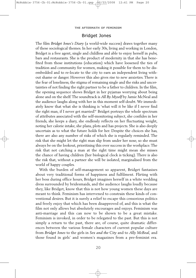#### Bridget Jones

The film *Bridget Jones's Diary* (a world-wide success) draws together many of these sociological themes. In her early 30s, living and working in London, Bridget is a free agent, single and childless and able to enjoy herself in pubs, bars and restaurants. She is the product of modernity in that she has benefited from those institutions (education) which have loosened the ties of tradition and community for women, making it possible for them to be disembedded and to re-locate to the city to earn an independent living without shame or danger. However this also gives rise to new anxieties. There is the fear of loneliness, the stigma of remaining single and the risks and uncertainties of not finding the right partner to be a father to children. In the film, the opening sequence shows Bridget in her pyjamas worrying about being alone and on the shelf.The soundtrack is *All By Myself* by Jamie McNeal and the audience laughs along with her in this moment self-doubt. We immediately know that what she is thinking is 'what will it be like if I never find the right man, if I never get married?' Bridget portrays the whole spectrum of attributes associated with the self-monitoring subject, she confides in her friends, she keeps a diary, she endlessly reflects on her fluctuating weight, noting her calorie intake, she plans, plots and has projects. She is also deeply uncertain as to what the future holds for her. Despite the choices she has, there are also any number of risks of which she is regularly reminded. The risk that she might let the right man slip from under her nose, so she must always be on the lookout, prioritising this over success in the workplace.The risk that not catching a man at the right time might mean she misses the chance of having children (her biological clock is ticking). There is also the risk that, without a partner she will be isolated, marginalised from the world of happy couples.

With the burden of self-management so apparent, Bridget fantasises about very traditional forms of happiness and fulfilment. Flirting with her boss during office hours, Bridget imagines herself in a white wedding dress surrounded by bridesmaids, and the audience laughs loudly because they, like Bridget, know that this is not how young women these days are meant to think. Feminism has intervened to constrain these kinds of conventional desires. But it is surely a relief to escape this censorious politics and freely enjoy that which has been disapproved of, and this is what the film not only allows but absolutely encourages and enjoys. Feminism was anti-marriage and this can now to be shown to be a great mistake. Feminism is invoked, in order to be relegated to the past. But this is not simply a return to the past, there are, of course, quite dramatic differences between the various female characters of current popular culture from *Bridget Jones* to the girls in *Sex and the City* and to *Ally McBeal,* and those found in girls' and women's magazines from a pre-feminist era.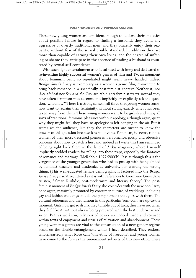These new young women are confident enough to declare their anxieties about possible failure in regard to finding a husband, they avoid any aggressive or overtly traditional men, and they brazenly enjoy their sexuality, without fear of the sexual double standard. In addition they are more than capable of earning their own living, and the degree of suffering or shame they anticipate in the absence of finding a husband is countered by sexual self confidence.

With such light entertainment as this, suffused with irony and dedicated to re-inventing highly successful women's genres of film and TV, an argument about feminism being so repudiated might seem heavy handed. Indeed *Bridget Jones's Diary* is exemplary as a women's genre film, re-invented to bring back romance in a specifically post-feminist context. Neither it, nor *Ally McBeal* nor *Sex and the City* are rabid anti-feminist tracts, instead they have taken feminism into account and implicitly or explicitly ask the question, 'what now?' There is a strong sense in all three that young women somehow want to reclaim their femininity, without stating exactly why it has been taken away from them. These young woman want to be girlish and enjoy all sorts of traditional feminine pleasures without apology, although again, quite why they might feel they have to apologise is left hanging in the air. But it seems we the audience, like they the characters, are meant to know the answer to this question because it is so obvious. Feminism, it seems, robbed women of their most treasured pleasures, i.e. romance, gossip and obsessive concerns about how to catch a husband, indeed as I write this I am reminded of being right back there in the land of *Jackie* magazine, where I myself implicitly scolded readers for falling into these traps, especially the fantasies of romance and marriage (McRobbie 1977/2000b). It is as though this is the vengeance of the younger generation who had to put up with being chided by feminist teachers and academics at university for wanting the wrong things. (This well-educated female demographic is factored into the *Bridget Jones's Diary* narrative, littered as it is with references to Germaine Greer, Jane Austen, Salman Rushdie, post-modernism and literary theory.) The postfeminist moment of *Bridget Jones's Diary* also coincides with the new popularity once again, massively promoted by consumer culture, of weddings, including gay and lesbian weddings and all the paraphernalia that goes with them. The cultural references and the humour in this particular'rom-com' are up-to-the moment. Girls now get so drunk they tumble out of taxis, they have sex when they feel like it, without always being prepared with the best underwear and so on. But, as we know, relations of power are indeed made and re-made within texts of enjoyment and rituals of relaxation and abandonment. These young women's genres are vital to the construction of a new gender regime, based on the double entanglement which I have described. They endorse wholeheartedly what Rose calls 'this ethic of freedom', and young women have come to the fore as the pre-eminent subjects of this new ethic. These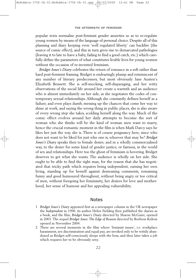popular texts normalise post-feminist gender anxieties so as to re-regulate young women by means of the language of personal choice. Despite all of this planning and diary keeping even 'well regulated liberty' can backfire (the source of comic effect), and this in turn gives rise to demarcated pathologies (leaving it to late to have a baby, failing to find a good catch, etc.) which carefully define the parameters of what constitutes livable lives for young women without the occasion of re-invented feminism.

*Bridget Jones's Diary* celebrates the return of romance in a soft rather than hard post-feminist framing. Bridget is endearingly plump and reminiscent of any number of literary predecessors, but most obviously Jane Austen's Elizabeth Bennett. She is self-mocking, self-disparaging, and her witty observations of the social life around her create a warmth and an audience who is almost immediately on her side, as she negotiates the codes of contemporary sexual relationships. Although she constantly defines herself as a failure, and even plays dumb, messing up the chances that come her way to shine at work, and saying the wrong thing in public places, she is also aware of every wrong step she takes, scolding herself along the way. Much of the comic effect evolves around her daily attempts to become the sort of woman who she thinks will be the kind of woman men want to marry, hence the crucial romantic moment in the film is when Mark Darcy says he likes her just the way she is. There is of course poignancy here, since who does not want to be liked for just who one is, whoever that may be? *Bridget Jones's Diary* speaks then to female desire, and in a wholly commercialised way, to the desire for some kind of gender justice, or fairness, in the world of sex and relationships. Here too the ghost of feminism is hovering. Bridget deserves to get what she wants. The audience is wholly on her side. She ought to be able to find the right man, for the reason that she has negotiated that tricky path which requires being independent, earning her own living, standing up for herself against demeaning comments, remaining funny and good humoured throughout, without being angry or too critical of men, without foregoing her femininity, her desires for love and motherhood, her sense of humour and her appealing vulnerability.

#### Notes

- 1 *Bridget Jones's Diary* appeared first as a newspaper column in the UK newspaper the *Independent* in 1996. its author Helen Fielding then published the diaries as a book, and the film, *Bridget Jones's Diary* directed by Sharon McGuire, opened in 2001.The sequel *Bridget Jones: The Edge of Reason* directed by Beebron Kidron opened in November 2004.
- 2 There are several moments in the film where 'feminist issues', i.e. workplace harassment, sex discrimination and equal pay, are invoked only to be wittily abandoned as Bridget self-consciously sleeps with the boss, and then later takes a job which requires her to be obviously sexy.